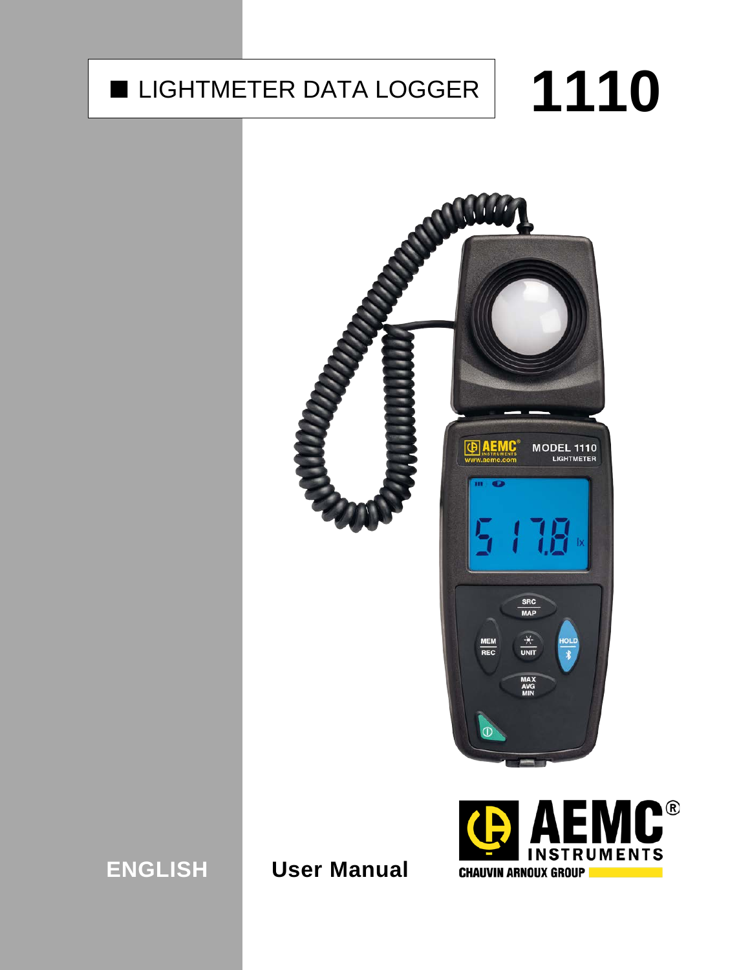# ■ LIGHTMETER DATA LOGGER | 1110

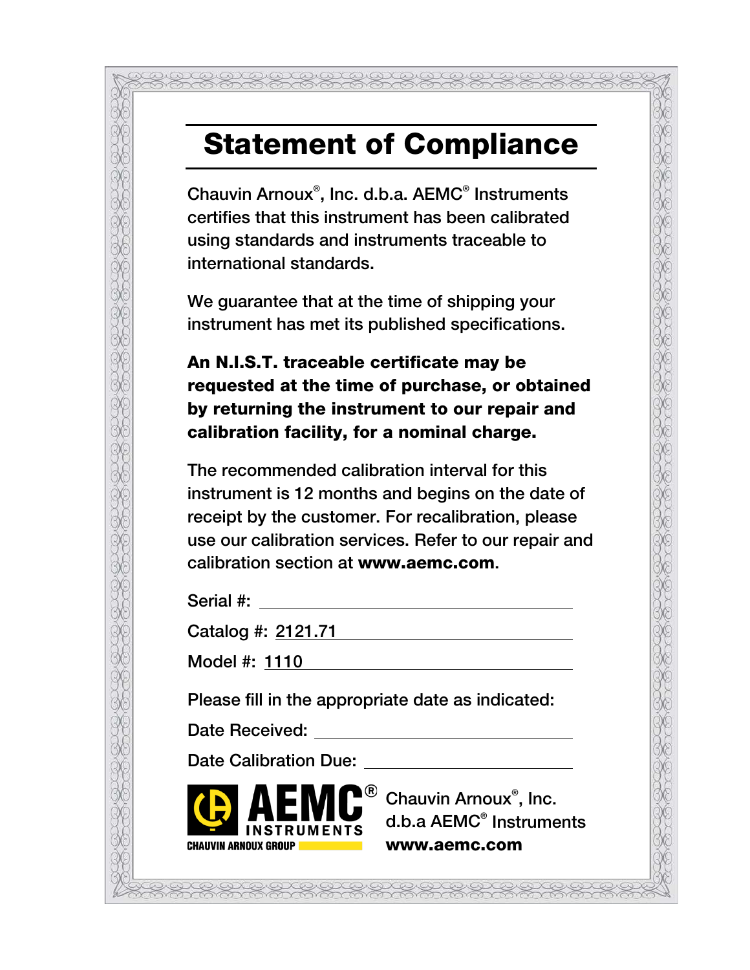## Statement of Compliance

Chauvin Arnoux® , Inc. d.b.a. AEMC® Instruments certifies that this instrument has been calibrated using standards and instruments traceable to international standards.

We guarantee that at the time of shipping your instrument has met its published specifications.

An N.I.S.T. traceable certificate may be requested at the time of purchase, or obtained by returning the instrument to our repair and calibration facility, for a nominal charge.

The recommended calibration interval for this instrument is 12 months and begins on the date of receipt by the customer. For recalibration, please use our calibration services. Refer to our repair and calibration section at www.aemc.com.

Serial #:

Catalog #: 2121.71

Model #: 1110

Please fill in the appropriate date as indicated:

Date Received: We have a set of the set of the set of the set of the set of the set of the set of the set of the set of the set of the set of the set of the set of the set of the set of the set of the set of the set of the

Date Calibration Due:



Chauvin Arnoux® , Inc. d.b.a AEMC® Instruments www.aemc.com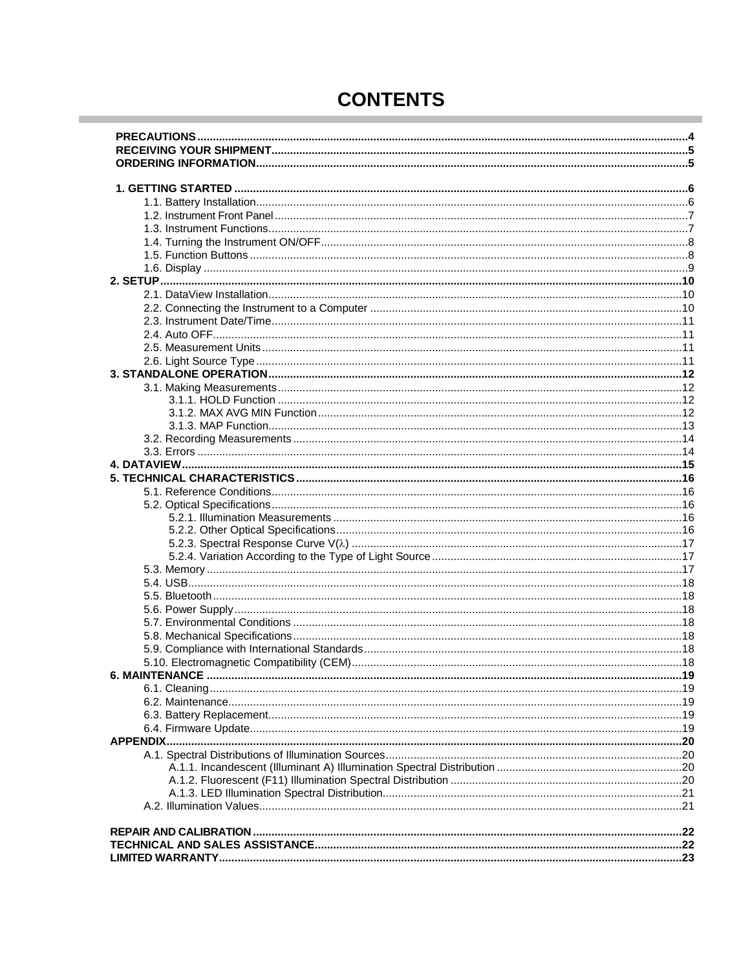| <b>CONTENTS</b> |  |
|-----------------|--|
|-----------------|--|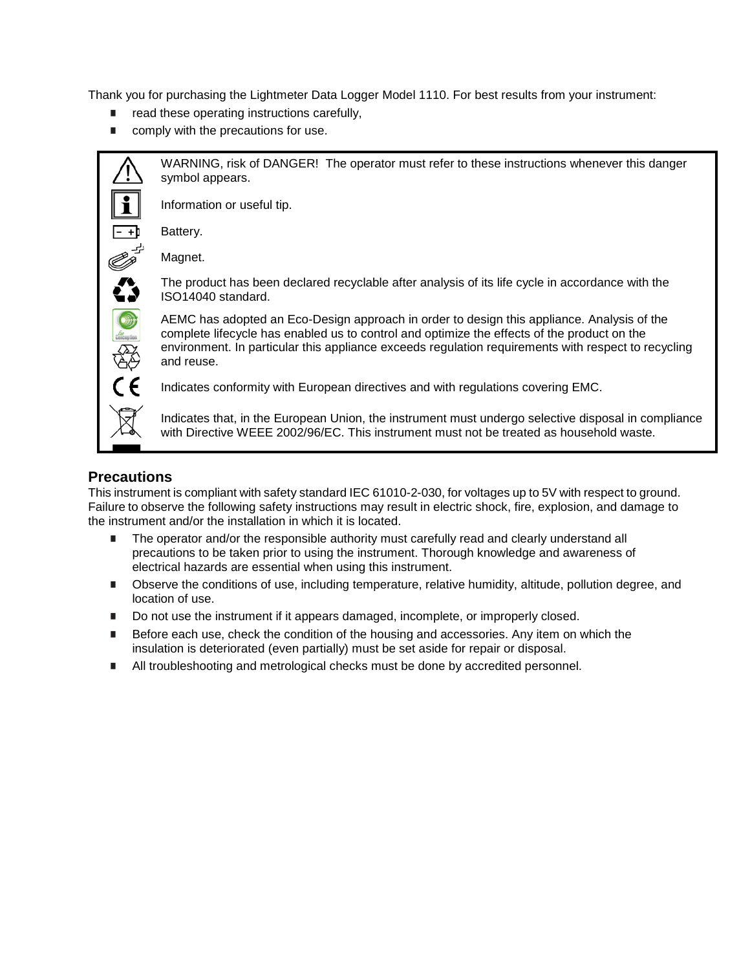Thank you for purchasing the Lightmeter Data Logger Model 1110. For best results from your instrument:

- $\blacksquare$  read these operating instructions carefully,
- comply with the precautions for use.



WARNING, risk of DANGER! The operator must refer to these instructions whenever this danger symbol appears.

Information or useful tip.

Battery.

Magnet.

The product has been declared recyclable after analysis of its life cycle in accordance with the ISO14040 standard.

AEMC has adopted an Eco-Design approach in order to design this appliance. Analysis of the complete lifecycle has enabled us to control and optimize the effects of the product on the environment. In particular this appliance exceeds regulation requirements with respect to recycling and reuse.

Indicates conformity with European directives and with regulations covering EMC.

Indicates that, in the European Union, the instrument must undergo selective disposal in compliance with Directive WEEE 2002/96/EC. This instrument must not be treated as household waste.

#### <span id="page-3-0"></span>**Precautions**

This instrument is compliant with safety standard IEC 61010-2-030, for voltages up to 5V with respect to ground. Failure to observe the following safety instructions may result in electric shock, fire, explosion, and damage to the instrument and/or the installation in which it is located.

- **The operator and/or the responsible authority must carefully read and clearly understand all** precautions to be taken prior to using the instrument. Thorough knowledge and awareness of electrical hazards are essential when using this instrument.
- **Depart Conditions of use, including temperature, relative humidity, altitude, pollution degree, and** location of use.
- Do not use the instrument if it appears damaged, incomplete, or improperly closed.
- **Before each use, check the condition of the housing and accessories. Any item on which the** insulation is deteriorated (even partially) must be set aside for repair or disposal.
- <span id="page-3-1"></span>I All troubleshooting and metrological checks must be done by accredited personnel.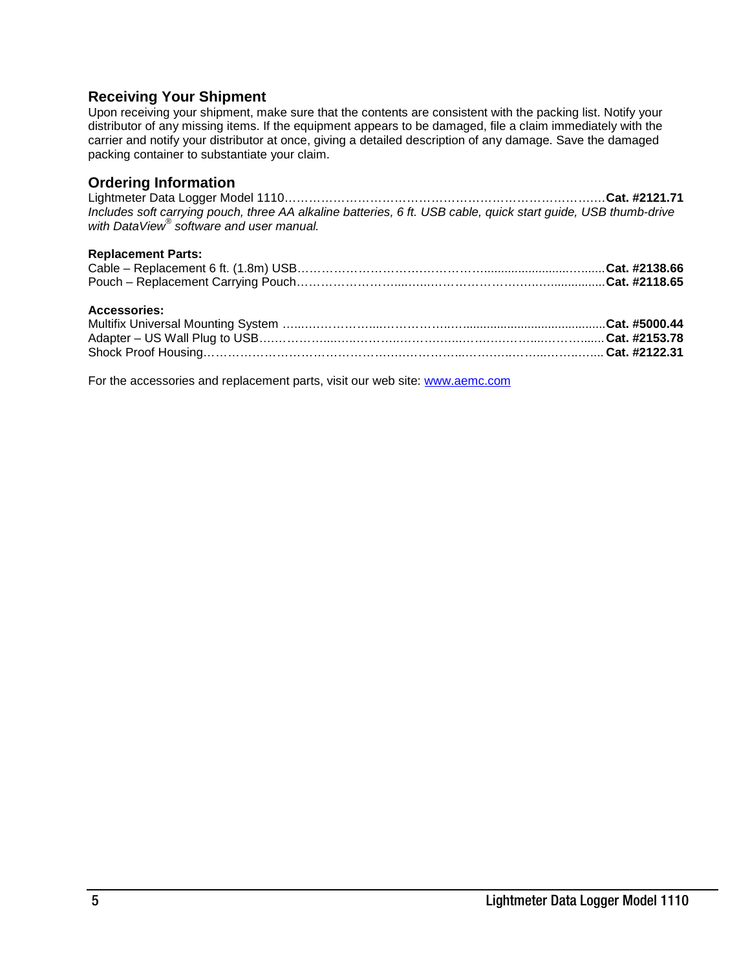#### **Receiving Your Shipment**

Upon receiving your shipment, make sure that the contents are consistent with the packing list. Notify your distributor of any missing items. If the equipment appears to be damaged, file a claim immediately with the carrier and notify your distributor at once, giving a detailed description of any damage. Save the damaged packing container to substantiate your claim.

#### <span id="page-4-0"></span>**Ordering Information**

Lightmeter Data Logger Model 1110………………………………………………………………….…**Cat. #2121.71** *Includes soft carrying pouch, three AA alkaline batteries, 6 ft. USB cable, quick start guide, USB thumb-drive with DataView® software and user manual.*

#### **Replacement Parts:**

#### **Accessories:**

For the accessories and replacement parts, visit our web site: [www.aemc.com](http://www.aemc.com/)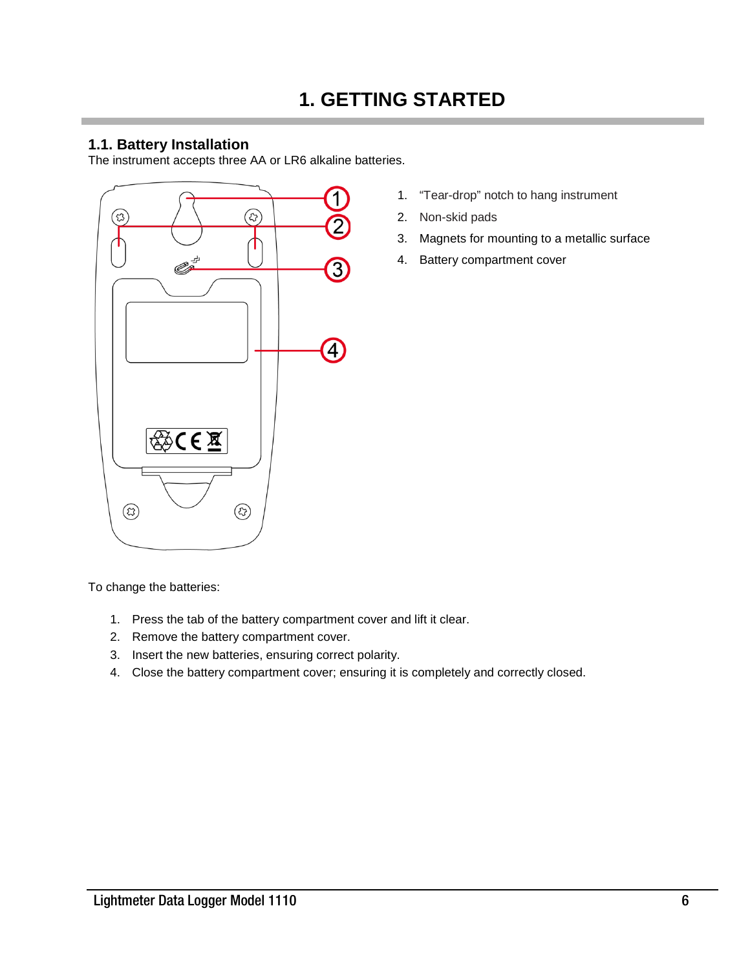#### <span id="page-5-1"></span><span id="page-5-0"></span>**1.1. Battery Installation**

The instrument accepts three AA or LR6 alkaline batteries.



- 1. "Tear-drop" notch to hang instrument
- 2. Non-skid pads
- 3. Magnets for mounting to a metallic surface
- 4. Battery compartment cover

To change the batteries:

- 1. Press the tab of the battery compartment cover and lift it clear.
- 2. Remove the battery compartment cover.
- 3. Insert the new batteries, ensuring correct polarity.
- 4. Close the battery compartment cover; ensuring it is completely and correctly closed.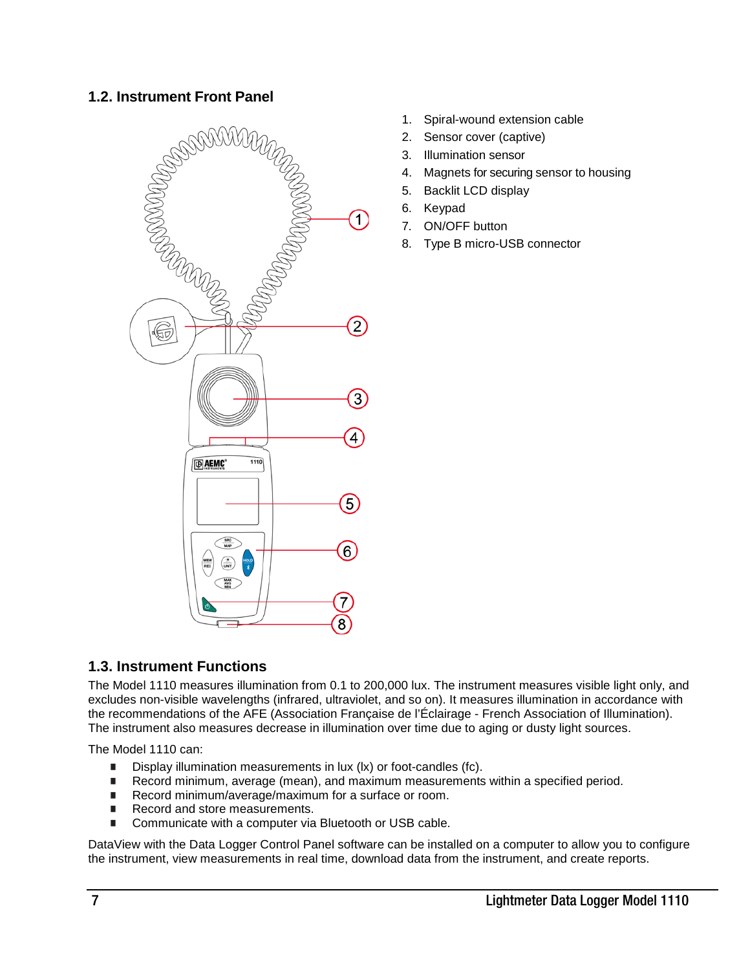#### <span id="page-6-0"></span>**1.2. Instrument Front Panel**

<span id="page-6-1"></span>

- 1. Spiral-wound extension cable
- 2. Sensor cover (captive)
- 3. Illumination sensor
- 4. Magnets for securing sensor to housing
- 5. Backlit LCD display
- 6. Keypad
- 7. ON/OFF button
- 8. Type B micro-USB connector

#### **1.3. Instrument Functions**

The Model 1110 measures illumination from 0.1 to 200,000 lux. The instrument measures visible light only, and excludes non-visible wavelengths (infrared, ultraviolet, and so on). It measures illumination in accordance with the recommendations of the AFE (Association Française de l'Éclairage - French Association of Illumination). The instrument also measures decrease in illumination over time due to aging or dusty light sources.

The Model 1110 can:

- Display illumination measurements in lux (lx) or foot-candles (fc).
- Record minimum, average (mean), and maximum measurements within a specified period.<br>Record minimum/average/maximum for a surface or room.
- Record minimum/average/maximum for a surface or room.
- Record and store measurements.
- Communicate with a computer via Bluetooth or USB cable.

DataView with the Data Logger Control Panel software can be installed on a computer to allow you to configure the instrument, view measurements in real time, download data from the instrument, and create reports.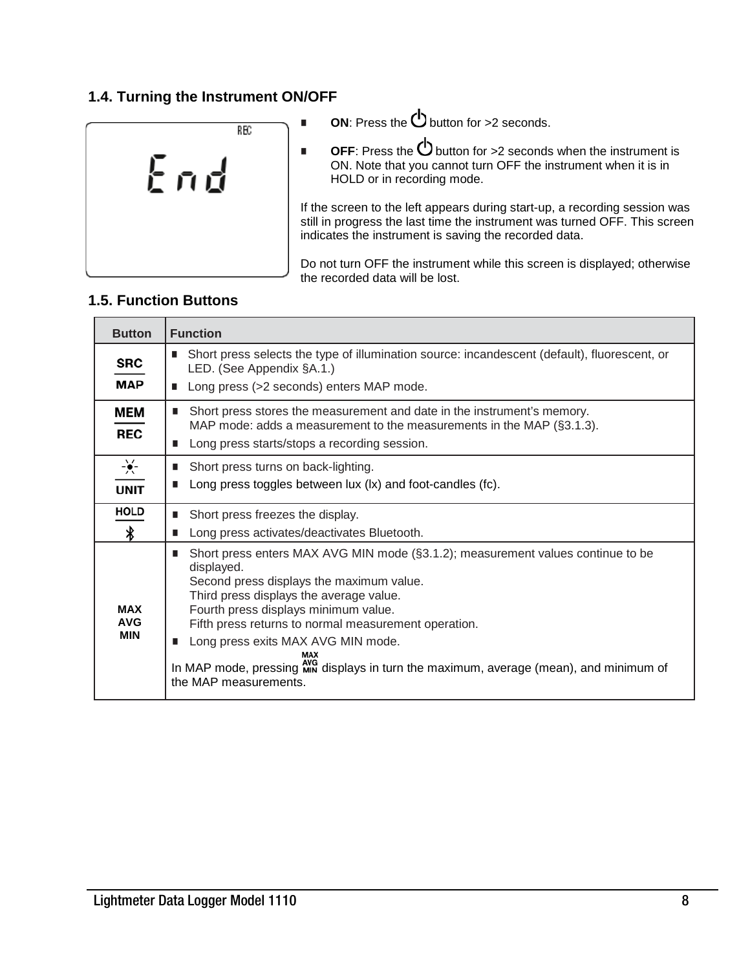#### <span id="page-7-0"></span>**1.4. Turning the Instrument ON/OFF**



- **ON:** Press the  $\bigcirc$  button for >2 seconds.
- **OFF**: Press the  $\bigcup$  button for >2 seconds when the instrument is ON. Note that you cannot turn OFF the instrument when it is in HOLD or in recording mode.

If the screen to the left appears during start-up, a recording session was still in progress the last time the instrument was turned OFF. This screen indicates the instrument is saving the recorded data.

Do not turn OFF the instrument while this screen is displayed; otherwise the recorded data will be lost.

#### **1.5. Function Buttons**

<span id="page-7-1"></span>

| <b>Button</b>                            | <b>Function</b>                                                                                                                                                                                                                                                                                                                                                                                                                                         |
|------------------------------------------|---------------------------------------------------------------------------------------------------------------------------------------------------------------------------------------------------------------------------------------------------------------------------------------------------------------------------------------------------------------------------------------------------------------------------------------------------------|
| SRC<br><b>MAP</b>                        | Short press selects the type of illumination source: incandescent (default), fluorescent, or<br>LED. (See Appendix §A.1.)<br>Long press (>2 seconds) enters MAP mode.                                                                                                                                                                                                                                                                                   |
| MEM<br><b>REC</b>                        | Short press stores the measurement and date in the instrument's memory.<br>MAP mode: adds a measurement to the measurements in the MAP (§3.1.3).<br>Long press starts/stops a recording session.                                                                                                                                                                                                                                                        |
| $-\frac{1}{2}\frac{1}{2}$<br><b>UNIT</b> | Short press turns on back-lighting.<br>Long press toggles between lux (lx) and foot-candles (fc).                                                                                                                                                                                                                                                                                                                                                       |
| <b>HOLD</b>                              | Short press freezes the display.<br>ш                                                                                                                                                                                                                                                                                                                                                                                                                   |
| ∦                                        | Long press activates/deactivates Bluetooth.<br>∎                                                                                                                                                                                                                                                                                                                                                                                                        |
| <b>MAX</b><br><b>AVG</b><br><b>MIN</b>   | Short press enters MAX AVG MIN mode (§3.1.2); measurement values continue to be<br>п<br>displayed.<br>Second press displays the maximum value.<br>Third press displays the average value.<br>Fourth press displays minimum value.<br>Fifth press returns to normal measurement operation.<br>Long press exits MAX AVG MIN mode.<br>■<br>In MAP mode, pressing Min displays in turn the maximum, average (mean), and minimum of<br>the MAP measurements. |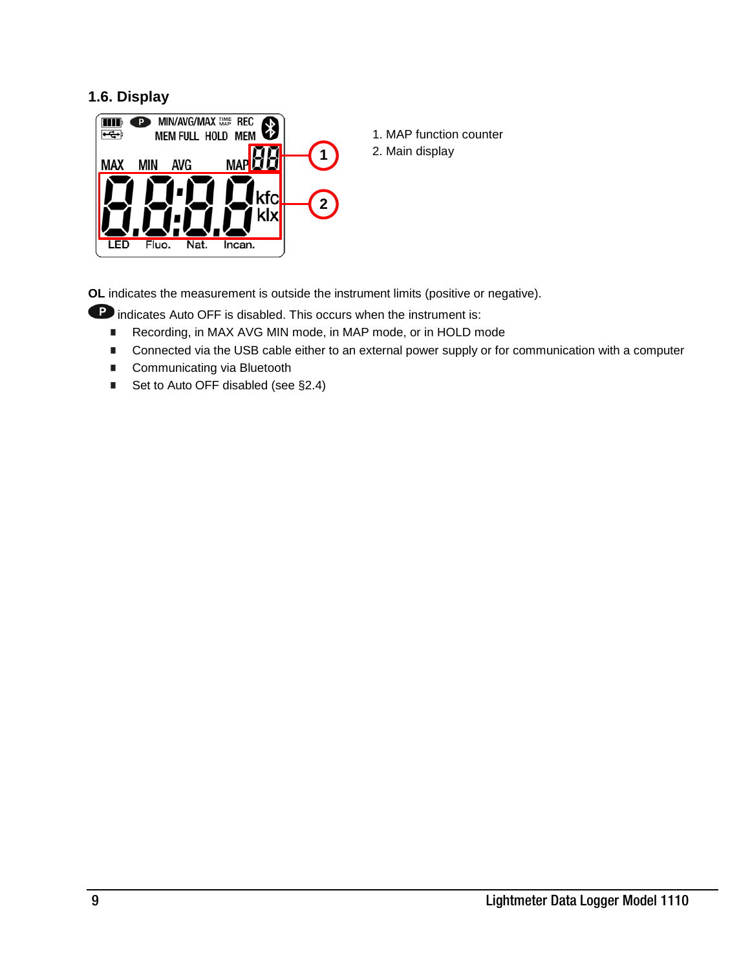#### **1.6. Display**



1. MAP function counter 2. Main display

**OL** indicates the measurement is outside the instrument limits (positive or negative).

**P** indicates Auto OFF is disabled. This occurs when the instrument is:

- Recording, in MAX AVG MIN mode, in MAP mode, or in HOLD mode
- Connected via the USB cable either to an external power supply or for communication with a computer
- Communicating via Bluetooth
- Set to Auto OFF disabled (see §2.4)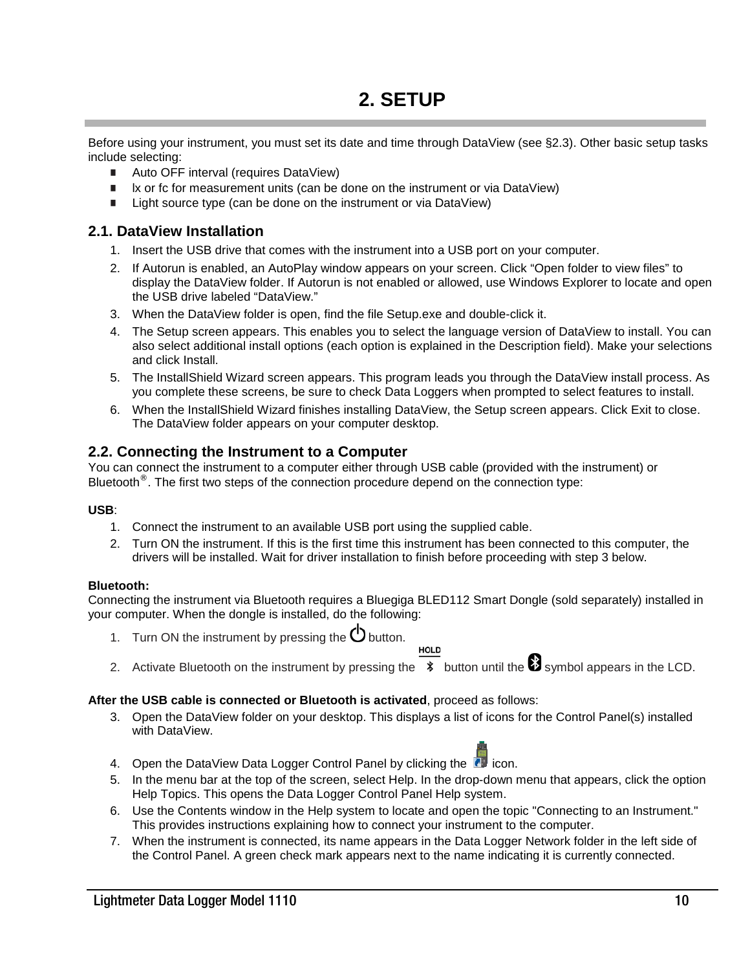<span id="page-9-0"></span>Before using your instrument, you must set its date and time through DataView (see §2.3). Other basic setup tasks include selecting:

- Auto OFF interval (requires DataView)
- lx or fc for measurement units (can be done on the instrument or via DataView)
- Light source type (can be done on the instrument or via DataView)

#### <span id="page-9-1"></span>**2.1. DataView Installation**

- 1. Insert the USB drive that comes with the instrument into a USB port on your computer.
- 2. If Autorun is enabled, an AutoPlay window appears on your screen. Click "Open folder to view files" to display the DataView folder. If Autorun is not enabled or allowed, use Windows Explorer to locate and open the USB drive labeled "DataView."
- 3. When the DataView folder is open, find the file Setup.exe and double-click it.
- 4. The Setup screen appears. This enables you to select the language version of DataView to install. You can also select additional install options (each option is explained in the Description field). Make your selections and click Install.
- 5. The InstallShield Wizard screen appears. This program leads you through the DataView install process. As you complete these screens, be sure to check Data Loggers when prompted to select features to install.
- 6. When the InstallShield Wizard finishes installing DataView, the Setup screen appears. Click Exit to close. The DataView folder appears on your computer desktop.

#### <span id="page-9-2"></span>**2.2. Connecting the Instrument to a Computer**

You can connect the instrument to a computer either through USB cable (provided with the instrument) or Bluetooth $^{\circledR}$ . The first two steps of the connection procedure depend on the connection type:

#### **USB**:

- 1. Connect the instrument to an available USB port using the supplied cable.
- 2. Turn ON the instrument. If this is the first time this instrument has been connected to this computer, the drivers will be installed. Wait for driver installation to finish before proceeding with step 3 below.

#### **Bluetooth:**

Connecting the instrument via Bluetooth requires a Bluegiga BLED112 Smart Dongle (sold separately) installed in your computer. When the dongle is installed, do the following:

- 1. Turn ON the instrument by pressing the  $\Phi$  button.
- 2. Activate Bluetooth on the instrument by pressing the  $\overline{\ast}$  button until the  $\bullet$  symbol appears in the LCD.

**HOLD** 

#### **After the USB cable is connected or Bluetooth is activated**, proceed as follows:

- 3. Open the DataView folder on your desktop. This displays a list of icons for the Control Panel(s) installed with DataView.
- 4. Open the DataView Data Logger Control Panel by clicking the  $\blacksquare$  icon.
- 5. In the menu bar at the top of the screen, select Help. In the drop-down menu that appears, click the option Help Topics. This opens the Data Logger Control Panel Help system.
- 6. Use the Contents window in the Help system to locate and open the topic "Connecting to an Instrument." This provides instructions explaining how to connect your instrument to the computer.
- <span id="page-9-3"></span>7. When the instrument is connected, its name appears in the Data Logger Network folder in the left side of the Control Panel. A green check mark appears next to the name indicating it is currently connected.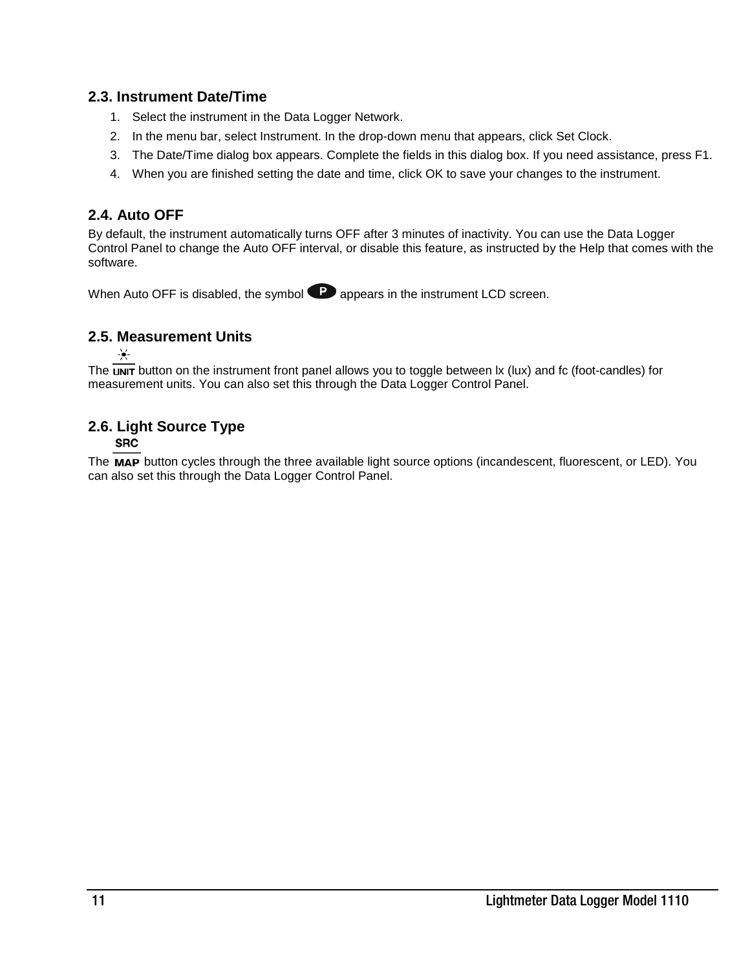#### <span id="page-10-0"></span>**2.3. Instrument Date/Time**

- 1. Select the instrument in the Data Logger Network.
- 2. In the menu bar, select Instrument. In the drop-down menu that appears, click Set Clock.
- 3. The Date/Time dialog box appears. Complete the fields in this dialog box. If you need assistance, press F1.
- 4. When you are finished setting the date and time, click OK to save your changes to the instrument.

#### **2.4. Auto OFF**

By default, the instrument automatically turns OFF after 3 minutes of inactivity. You can use the Data Logger Control Panel to change the Auto OFF interval, or disable this feature, as instructed by the Help that comes with the software.

When Auto OFF is disabled, the symbol  $\bullet$  appears in the instrument LCD screen.

#### <span id="page-10-1"></span>**2.5. Measurement Units**

 $-\bullet-$ 

The  $\overline{unr}$  button on the instrument front panel allows you to toggle between  $x$  (lux) and fc (foot-candles) for measurement units. You can also set this through the Data Logger Control Panel.

#### <span id="page-10-2"></span>**2.6. Light Source Type**

**SRC** 

The MAP button cycles through the three available light source options (incandescent, fluorescent, or LED). You can also set this through the Data Logger Control Panel.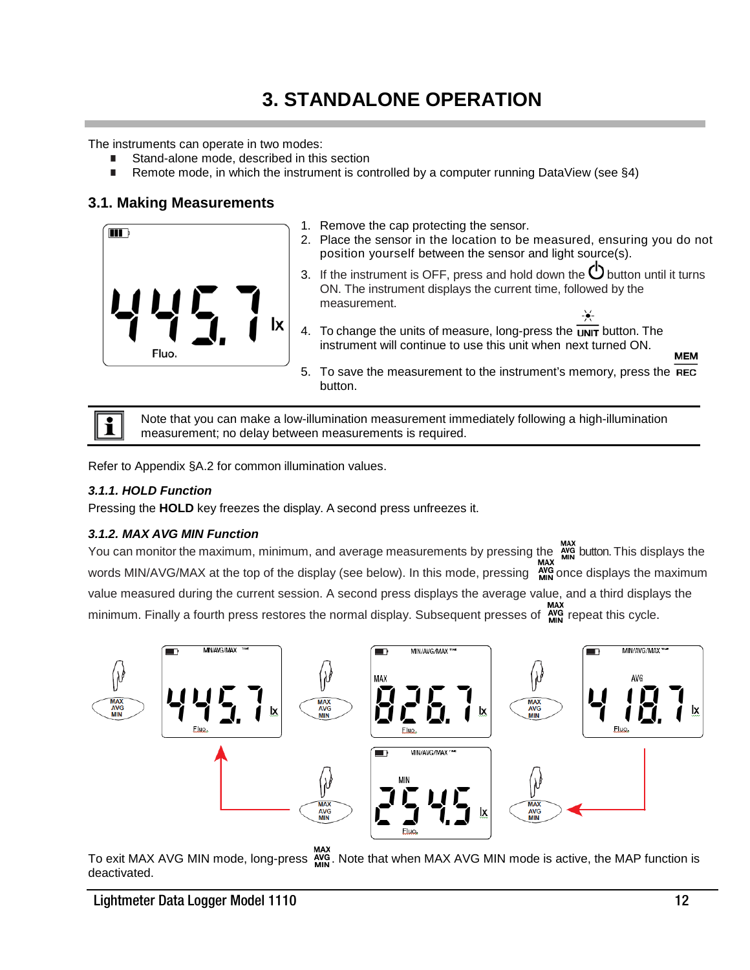## **3. STANDALONE OPERATION**

<span id="page-11-0"></span>The instruments can operate in two modes:

- Stand-alone mode, described in this section
- Remote mode, in which the instrument is controlled by a computer running DataView (see  $\S4$ )

#### <span id="page-11-1"></span>**3.1. Making Measurements**



- 1. Remove the cap protecting the sensor.
- 2. Place the sensor in the location to be measured, ensuring you do not position yourself between the sensor and light source(s).
- 3. If the instrument is OFF, press and hold down the  $\mathbb O$  button until it turns ON. The instrument displays the current time, followed by the measurement.
- 4. To change the units of measure, long-press the  $\overline{unrr}$  button. The instrument will continue to use this unit when next turned ON.
- 5. To save the measurement to the instrument's memory, press the REC button.



Note that you can make a low-illumination measurement immediately following a high-illumination measurement; no delay between measurements is required.

Refer to Appendix §[A.2](#page-20-1) for common illumination values.

#### <span id="page-11-2"></span>*3.1.1. HOLD Function*

Pressing the **HOLD** key freezes the display. A second press unfreezes it.

#### <span id="page-11-3"></span>*3.1.2. MAX AVG MIN Function*

You can monitor the maximum, minimum, and average measurements by pressing the Arina button. This displays the words MIN/AVG/MAX at the top of the display (see below). In this mode, pressing  $\frac{N}{N10}$  once displays the maximum value measured during the current session. A second press displays the average value, and a third displays the minimum. Finally a fourth press restores the normal display. Subsequent presses of  $\frac{arg}{min}$  repeat this cycle.



MAX<br>To exit MAX AVG MIN mode, long-press  $\frac{N}{MIN}$ . Note that when MAX AVG MIN mode is active, the MAP function is deactivated.

**MEM**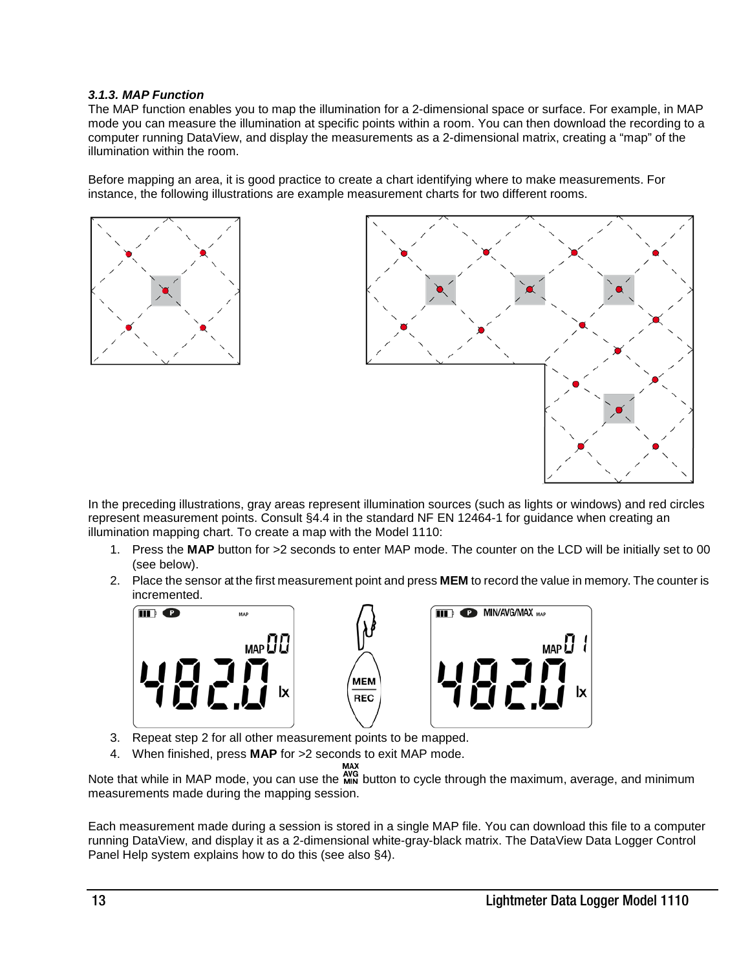#### <span id="page-12-0"></span>*3.1.3. MAP Function*

The MAP function enables you to map the illumination for a 2-dimensional space or surface. For example, in MAP mode you can measure the illumination at specific points within a room. You can then download the recording to a computer running DataView, and display the measurements as a 2-dimensional matrix, creating a "map" of the illumination within the room.

Before mapping an area, it is good practice to create a chart identifying where to make measurements. For instance, the following illustrations are example measurement charts for two different rooms.





In the preceding illustrations, gray areas represent illumination sources (such as lights or windows) and red circles represent measurement points. Consult §4.4 in the standard NF EN 12464-1 for guidance when creating an illumination mapping chart. To create a map with the Model 1110:

- 1. Press the **MAP** button for >2 seconds to enter MAP mode. The counter on the LCD will be initially set to 00 (see below).
- 2. Place the sensor at the first measurement point and press **MEM** to record the value in memory. The counter is incremented.



- 3. Repeat step 2 for all other measurement points to be mapped.
- 4. When finished, press **MAP** for >2 seconds to exit MAP mode.

Note that while in MAP mode, you can use the MIN button to cycle through the maximum, average, and minimum measurements made during the mapping session.

Each measurement made during a session is stored in a single MAP file. You can download this file to a computer running DataView, and display it as a 2-dimensional white-gray-black matrix. The DataView Data Logger Control Panel Help system explains how to do this (see also §4).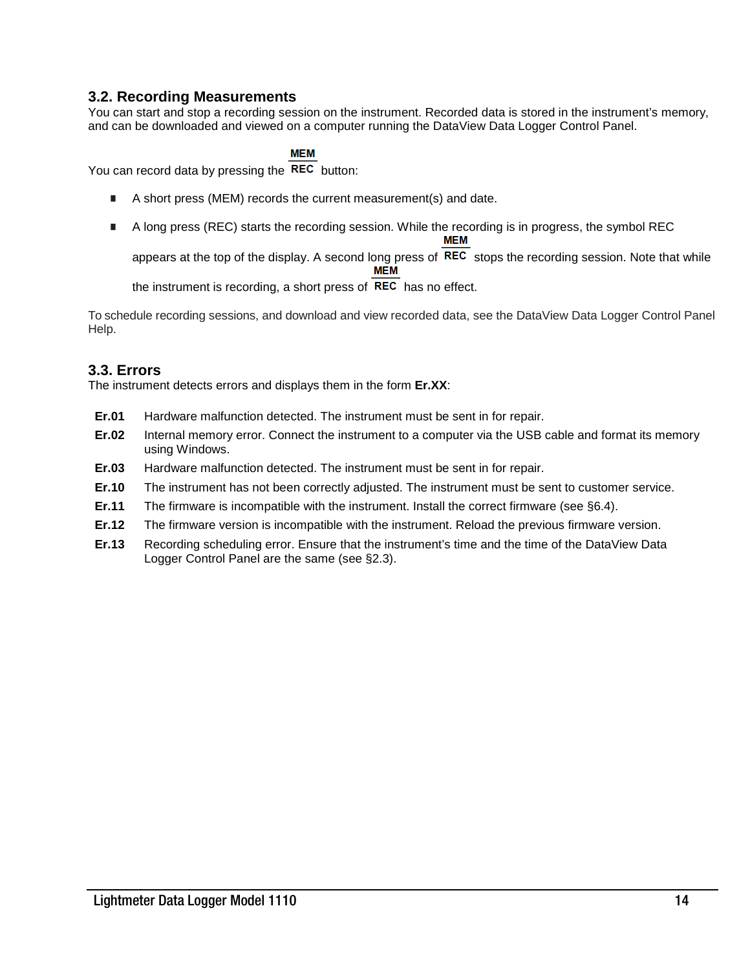#### <span id="page-13-0"></span>**3.2. Recording Measurements**

You can start and stop a recording session on the instrument. Recorded data is stored in the instrument's memory, and can be downloaded and viewed on a computer running the DataView Data Logger Control Panel.

#### **MEM**

You can record data by pressing the REC button:

- A short press (MEM) records the current measurement(s) and date.
- A long press (REC) starts the recording session. While the recording is in progress, the symbol REC **MEM**

appears at the top of the display. A second long press of  $\overline{REC}$  stops the recording session. Note that while **MEM** 

the instrument is recording, a short press of  $\overline{REC}$  has no effect.

To schedule recording sessions, and download and view recorded data, see the DataView Data Logger Control Panel Help.

#### <span id="page-13-1"></span>**3.3. Errors**

The instrument detects errors and displays them in the form **Er.XX**:

- **Er.01** Hardware malfunction detected. The instrument must be sent in for repair.
- **Er.02** Internal memory error. Connect the instrument to a computer via the USB cable and format its memory using Windows.
- **Er.03** Hardware malfunction detected. The instrument must be sent in for repair.
- **Er.10** The instrument has not been correctly adjusted. The instrument must be sent to customer service.
- **Er.11** The firmware is incompatible with the instrument. Install the correct firmware (see §6.4).
- **Er.12** The firmware version is incompatible with the instrument. Reload the previous firmware version.
- <span id="page-13-2"></span>**Er.13** Recording scheduling error. Ensure that the instrument's time and the time of the DataView Data Logger Control Panel are the same (see §2.3).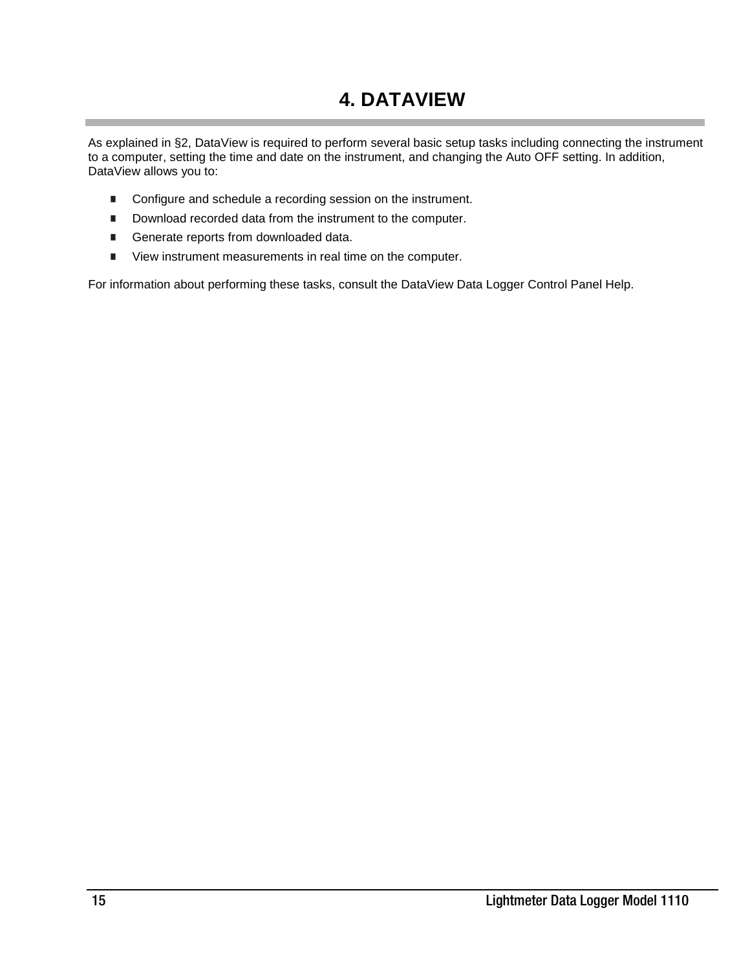## **4. DATAVIEW**

As explained in §2, DataView is required to perform several basic setup tasks including connecting the instrument to a computer, setting the time and date on the instrument, and changing the Auto OFF setting. In addition, DataView allows you to:

- Configure and schedule a recording session on the instrument.
- Download recorded data from the instrument to the computer.
- Generate reports from downloaded data.
- **U** View instrument measurements in real time on the computer.

For information about performing these tasks, consult the DataView Data Logger Control Panel Help.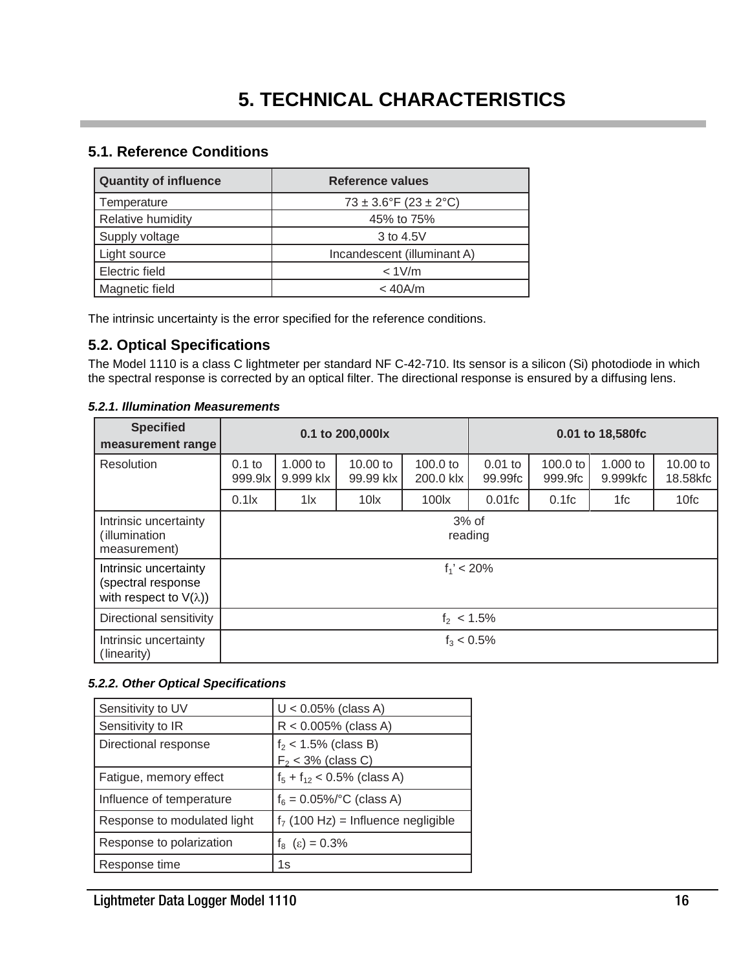#### <span id="page-15-1"></span><span id="page-15-0"></span>**5.1. Reference Conditions**

| <b>Quantity of influence</b> | Reference values            |
|------------------------------|-----------------------------|
| Temperature                  | $73 \pm 3.6$ °F (23 ± 2°C)  |
| Relative humidity            | 45% to 75%                  |
| Supply voltage               | 3 to 4.5V                   |
| Light source                 | Incandescent (illuminant A) |
| Electric field               | $< 1$ V/m                   |
| Magnetic field               | $<$ 40A/m                   |

The intrinsic uncertainty is the error specified for the reference conditions.

#### <span id="page-15-2"></span>**5.2. Optical Specifications**

The Model 1110 is a class C lightmeter per standard NF C-42-710. Its sensor is a silicon (Si) photodiode in which the spectral response is corrected by an optical filter. The directional response is ensured by a diffusing lens.

| <b>Specified</b><br>measurement range                                         | 0.1 to 200,000lx    |                       |                       |                       |                      | 0.01 to 18,580fc    |                        |                      |
|-------------------------------------------------------------------------------|---------------------|-----------------------|-----------------------|-----------------------|----------------------|---------------------|------------------------|----------------------|
| Resolution                                                                    | $0.1$ to<br>999.9lx | 1.000 to<br>9.999 klx | 10.00 to<br>99.99 klx | 100.0 to<br>200.0 klx | $0.01$ to<br>99.99fc | 100.0 to<br>999.9fc | $1.000$ to<br>9.999kfc | 10.00 to<br>18.58kfc |
|                                                                               | $0.1$ $\mathsf{lx}$ | $1\text{K}$           | $10\text{lx}$         | 100 <sub>k</sub>      | $0.01$ fc            | 0.1fc               | 1fc                    | 10fc                 |
| Intrinsic uncertainty<br>(illumination<br>measurement)                        | $3%$ of<br>reading  |                       |                       |                       |                      |                     |                        |                      |
| Intrinsic uncertainty<br>(spectral response<br>with respect to $V(\lambda)$ ) | $f_1' < 20\%$       |                       |                       |                       |                      |                     |                        |                      |
| Directional sensitivity                                                       | $f_2$ < 1.5%        |                       |                       |                       |                      |                     |                        |                      |
| Intrinsic uncertainty<br>(linearity)                                          | $f_3 < 0.5\%$       |                       |                       |                       |                      |                     |                        |                      |

#### <span id="page-15-3"></span>*5.2.1. Illumination Measurements*

#### <span id="page-15-4"></span>*5.2.2. Other Optical Specifications*

| Sensitivity to UV           | $U < 0.05\%$ (class A)               |
|-----------------------------|--------------------------------------|
| Sensitivity to IR           | $R < 0.005\%$ (class A)              |
| Directional response        | $f2$ < 1.5% (class B)                |
|                             | $F2$ < 3% (class C)                  |
| Fatigue, memory effect      | $f_5 + f_{12} < 0.5\%$ (class A)     |
| Influence of temperature    | $f_6 = 0.05\%$ (class A)             |
| Response to modulated light | $f7$ (100 Hz) = Influence negligible |
| Response to polarization    | $f_8$ ( $\varepsilon$ ) = 0.3%       |
| Response time               | 1s                                   |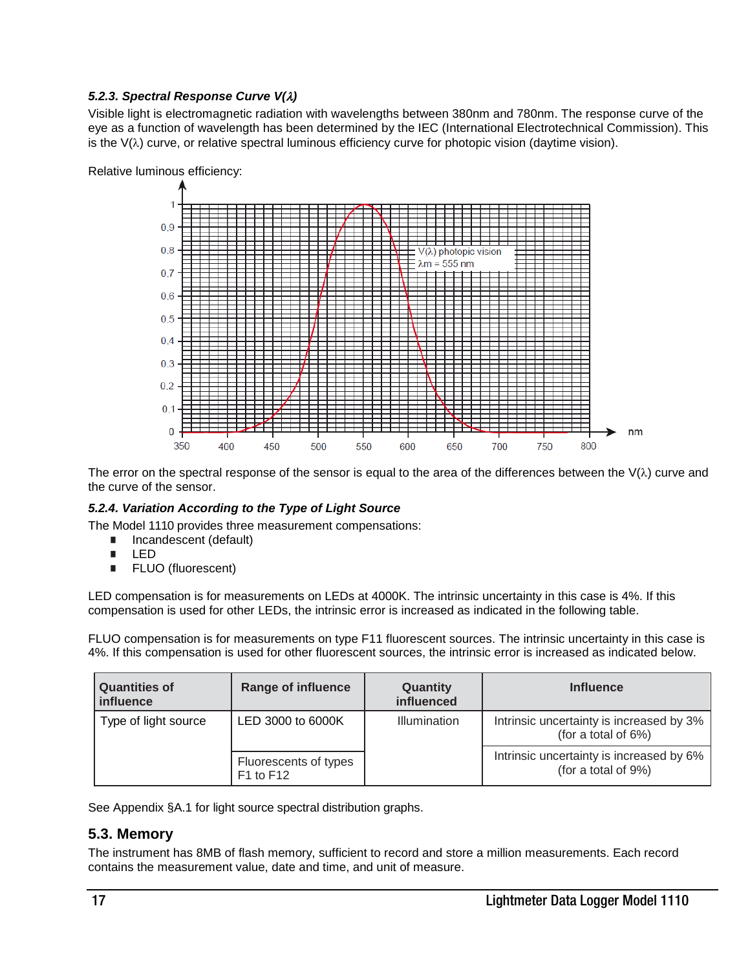#### <span id="page-16-0"></span>*5.2.3. Spectral Response Curve V(*λ*)*

Visible light is electromagnetic radiation with wavelengths between 380nm and 780nm. The response curve of the eye as a function of wavelength has been determined by the IEC (International Electrotechnical Commission). This is the V(λ) curve, or relative spectral luminous efficiency curve for photopic vision (daytime vision).



The error on the spectral response of the sensor is equal to the area of the differences between the  $V(\lambda)$  curve and the curve of the sensor.

#### <span id="page-16-1"></span>*5.2.4. Variation According to the Type of Light Source*

The Model 1110 provides three measurement compensations:

- Incandescent (default)
- **LED**
- **FLUO** (fluorescent)

LED compensation is for measurements on LEDs at 4000K. The intrinsic uncertainty in this case is 4%. If this compensation is used for other LEDs, the intrinsic error is increased as indicated in the following table.

FLUO compensation is for measurements on type F11 fluorescent sources. The intrinsic uncertainty in this case is 4%. If this compensation is used for other fluorescent sources, the intrinsic error is increased as indicated below.

| <b>Quantities of</b><br>influence | <b>Range of influence</b>              | Quantity<br>influenced | <b>Influence</b>                                                |
|-----------------------------------|----------------------------------------|------------------------|-----------------------------------------------------------------|
| Type of light source              | LED 3000 to 6000K                      | Illumination           | Intrinsic uncertainty is increased by 3%<br>(for a total of 6%) |
|                                   | Fluorescents of types<br>$F1$ to $F12$ |                        | Intrinsic uncertainty is increased by 6%<br>(for a total of 9%) |

See Appendix [§A.1](#page-19-1) for light source spectral distribution graphs.

#### <span id="page-16-2"></span>**5.3. Memory**

<span id="page-16-3"></span>The instrument has 8MB of flash memory, sufficient to record and store a million measurements. Each record contains the measurement value, date and time, and unit of measure.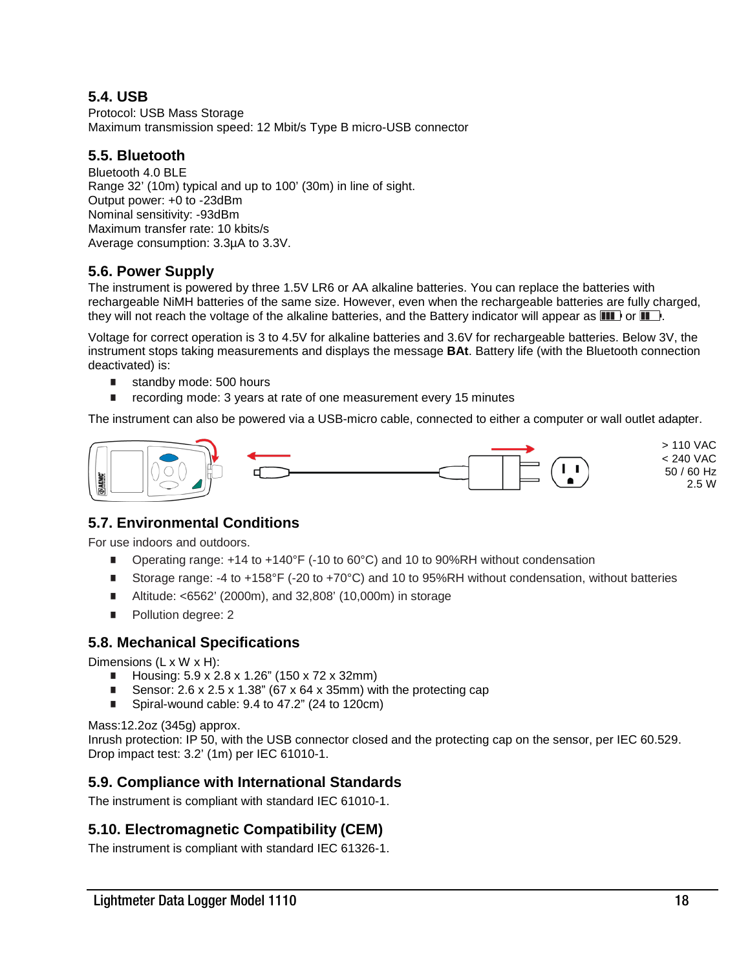#### **5.4. USB**

Protocol: USB Mass Storage Maximum transmission speed: 12 Mbit/s Type B micro-USB connector

#### <span id="page-17-0"></span>**5.5. Bluetooth**

Bluetooth 4.0 BLE Range 32' (10m) typical and up to 100' (30m) in line of sight. Output power: +0 to -23dBm Nominal sensitivity: -93dBm Maximum transfer rate: 10 kbits/s Average consumption: 3.3µA to 3.3V.

#### <span id="page-17-1"></span>**5.6. Power Supply**

The instrument is powered by three 1.5V LR6 or AA alkaline batteries. You can replace the batteries with rechargeable NiMH batteries of the same size. However, even when the rechargeable batteries are fully charged, they will not reach the voltage of the alkaline batteries, and the Battery indicator will appear as  $\blacksquare$  or  $\blacksquare$ .

Voltage for correct operation is 3 to 4.5V for alkaline batteries and 3.6V for rechargeable batteries. Below 3V, the instrument stops taking measurements and displays the message **BAt**. Battery life (with the Bluetooth connection deactivated) is:

- standby mode: 500 hours
- recording mode: 3 years at rate of one measurement every 15 minutes

The instrument can also be powered via a USB-micro cable, connected to either a computer or wall outlet adapter.



#### **5.7. Environmental Conditions**

For use indoors and outdoors.

- <span id="page-17-2"></span>■ Operating range: +14 to +140°F (-10 to 60°C) and 10 to 90%RH without condensation
- Storage range: -4 to +158°F (-20 to +70°C) and 10 to 95%RH without condensation, without batteries
- Altitude: <6562' (2000m), and 32,808' (10,000m) in storage
- Pollution degree: 2

#### <span id="page-17-3"></span>**5.8. Mechanical Specifications**

Dimensions (L x W x H):

- Housing:  $5.9 \times 2.8 \times 1.26$ " (150 x 72 x 32mm)
- Sensor:  $2.6 \times 2.5 \times 1.38$ " (67  $\times$  64  $\times$  35mm) with the protecting cap
- Spiral-wound cable: 9.4 to 47.2" (24 to 120cm)

Mass:12.2oz (345g) approx.

Inrush protection: IP 50, with the USB connector closed and the protecting cap on the sensor, per IEC 60.529. Drop impact test: 3.2' (1m) per IEC 61010-1.

#### <span id="page-17-4"></span>**5.9. Compliance with International Standards**

The instrument is compliant with standard IEC 61010-1.

#### <span id="page-17-5"></span>**5.10. Electromagnetic Compatibility (CEM)**

The instrument is compliant with standard IEC 61326-1.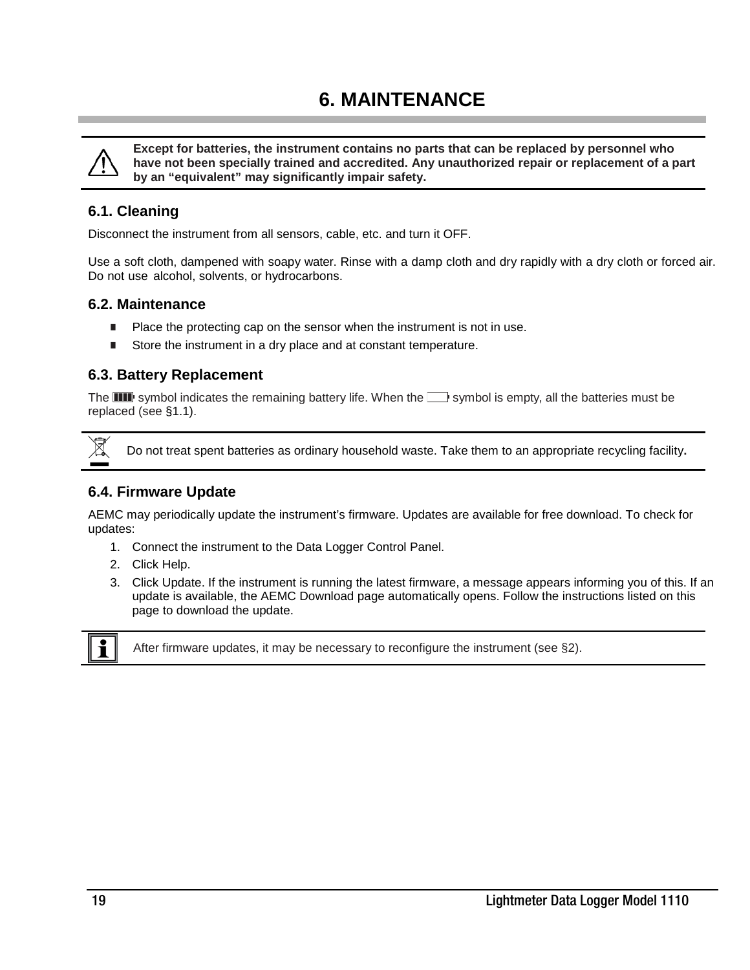## **6. MAINTENANCE**

<span id="page-18-0"></span>

**Except for batteries, the instrument contains no parts that can be replaced by personnel who have not been specially trained and accredited. Any unauthorized repair or replacement of a part by an "equivalent" may significantly impair safety.**

#### <span id="page-18-1"></span>**6.1. Cleaning**

Disconnect the instrument from all sensors, cable, etc. and turn it OFF.

Use a soft cloth, dampened with soapy water. Rinse with a damp cloth and dry rapidly with a dry cloth or forced air. Do not use alcohol, solvents, or hydrocarbons.

#### <span id="page-18-2"></span>**6.2. Maintenance**

- Place the protecting cap on the sensor when the instrument is not in use.
- Store the instrument in a dry place and at constant temperature.

#### <span id="page-18-3"></span>**6.3. Battery Replacement**

The **IIII** symbol indicates the remaining battery life. When the  $\Box$  symbol is empty, all the batteries must be replaced (see §1.1).



Do not treat spent batteries as ordinary household waste. Take them to an appropriate recycling facility**.**

#### <span id="page-18-4"></span>**6.4. Firmware Update**

AEMC may periodically update the instrument's firmware. Updates are available for free download. To check for updates:

- 1. Connect the instrument to the Data Logger Control Panel.
- 2. Click Help.
- 3. Click Update. If the instrument is running the latest firmware, a message appears informing you of this. If an update is available, the AEMC Download page automatically opens. Follow the instructions listed on this page to download the update.



After firmware updates, it may be necessary to reconfigure the instrument (see §2).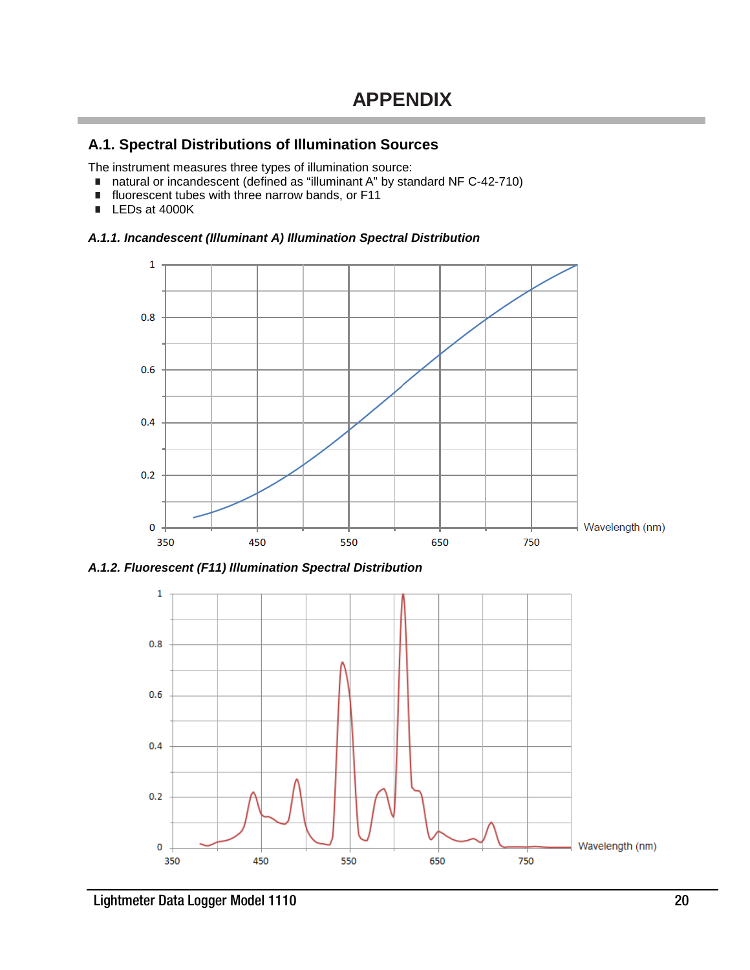#### <span id="page-19-1"></span><span id="page-19-0"></span>**A.1. Spectral Distributions of Illumination Sources**

The instrument measures three types of illumination source:

- natural or incandescent (defined as "illuminant A" by standard NF C-42-710)<br>■ fluorescent tubes with three narrow bands, or F11
- fluorescent tubes with three narrow bands, or F11
- LEDs at 4000K

#### <span id="page-19-2"></span>*A.1.1. Incandescent (Illuminant A) Illumination Spectral Distribution*



<span id="page-19-3"></span>*A.1.2. Fluorescent (F11) Illumination Spectral Distribution*

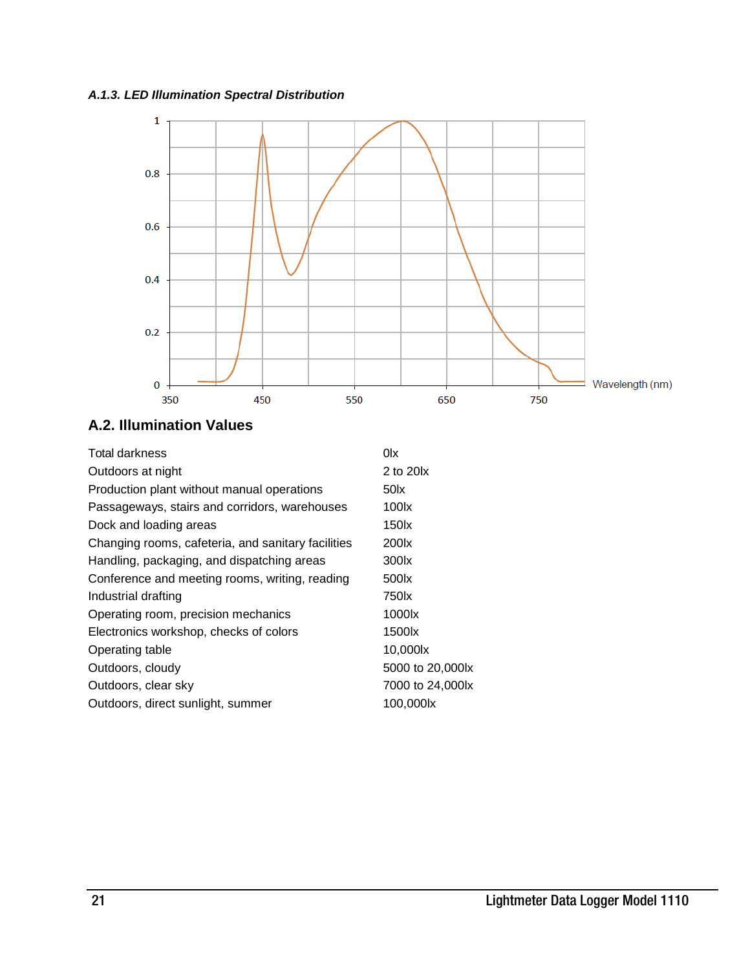#### <span id="page-20-0"></span>*A.1.3. LED Illumination Spectral Distribution*



### <span id="page-20-1"></span>**A.2. Illumination Values**

| Total darkness                                     | 0lx               |
|----------------------------------------------------|-------------------|
| Outdoors at night                                  | 2 to 20lx         |
| Production plant without manual operations         | 50 <sub>xx</sub>  |
| Passageways, stairs and corridors, warehouses      | $100\mathrm{k}$   |
| Dock and loading areas                             | 150 <sub>x</sub>  |
| Changing rooms, cafeteria, and sanitary facilities | 200 <sub>x</sub>  |
| Handling, packaging, and dispatching areas         | 300 <sub>x</sub>  |
| Conference and meeting rooms, writing, reading     | 500 <sub>x</sub>  |
| Industrial drafting                                | 750 k             |
| Operating room, precision mechanics                | 1000lx            |
| Electronics workshop, checks of colors             | 1500 <sub>x</sub> |
| Operating table                                    | 10,000lx          |
| Outdoors, cloudy                                   | 5000 to 20,000lx  |
| Outdoors, clear sky                                | 7000 to 24,000lx  |
| Outdoors, direct sunlight, summer                  | 100,000lx         |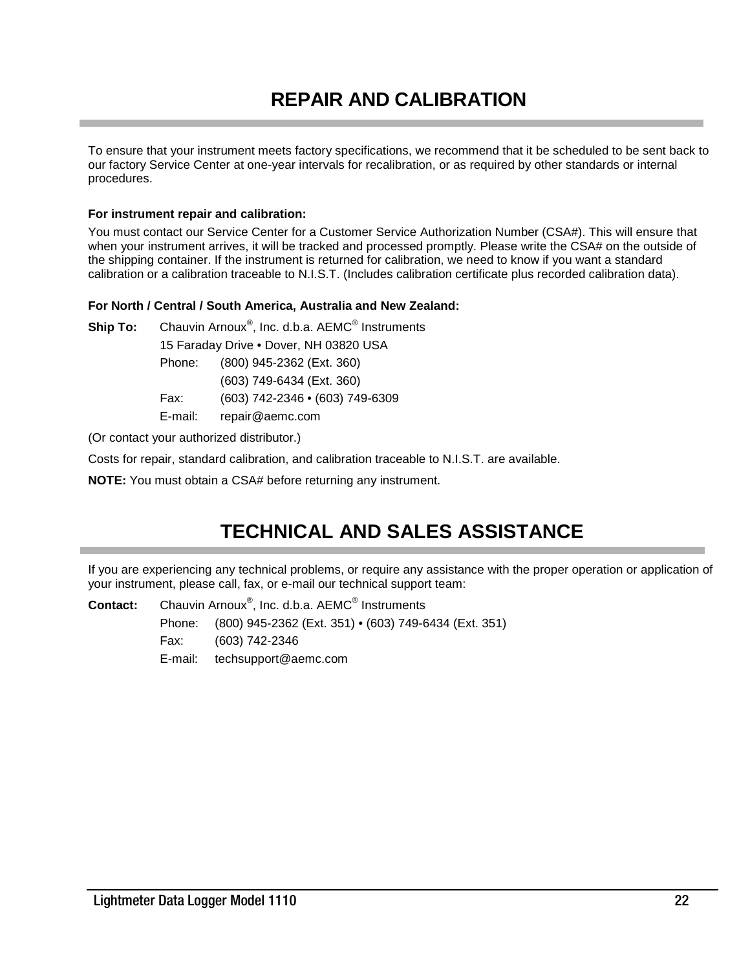## **REPAIR AND CALIBRATION**

<span id="page-21-0"></span>To ensure that your instrument meets factory specifications, we recommend that it be scheduled to be sent back to our factory Service Center at one-year intervals for recalibration, or as required by other standards or internal procedures.

#### **For instrument repair and calibration:**

You must contact our Service Center for a Customer Service Authorization Number (CSA#). This will ensure that when your instrument arrives, it will be tracked and processed promptly. Please write the CSA# on the outside of the shipping container. If the instrument is returned for calibration, we need to know if you want a standard calibration or a calibration traceable to N.I.S.T. (Includes calibration certificate plus recorded calibration data).

#### **For North / Central / South America, Australia and New Zealand:**

Ship To: Chauvin Arnoux<sup>®</sup>, Inc. d.b.a. AEMC<sup>®</sup> Instruments 15 Faraday Drive • Dover, NH 03820 USA Phone: (800) 945-2362 (Ext. 360) (603) 749-6434 (Ext. 360)

Fax: (603) 742-2346 • (603) 749-6309

E-mail: repair@aemc.com

(Or contact your authorized distributor.)

Costs for repair, standard calibration, and calibration traceable to N.I.S.T. are available.

**NOTE:** You must obtain a CSA# before returning any instrument.

## **TECHNICAL AND SALES ASSISTANCE**

<span id="page-21-1"></span>If you are experiencing any technical problems, or require any assistance with the proper operation or application of your instrument, please call, fax, or e-mail our technical support team:

**Contact:** Chauvin Arnoux® , Inc. d.b.a. AEMC® Instruments Phone: (800) 945-2362 (Ext. 351) • (603) 749-6434 (Ext. 351) Fax: (603) 742-2346

E-mail: [techsupport@aemc.com](mailto:techsupport@aemc.com)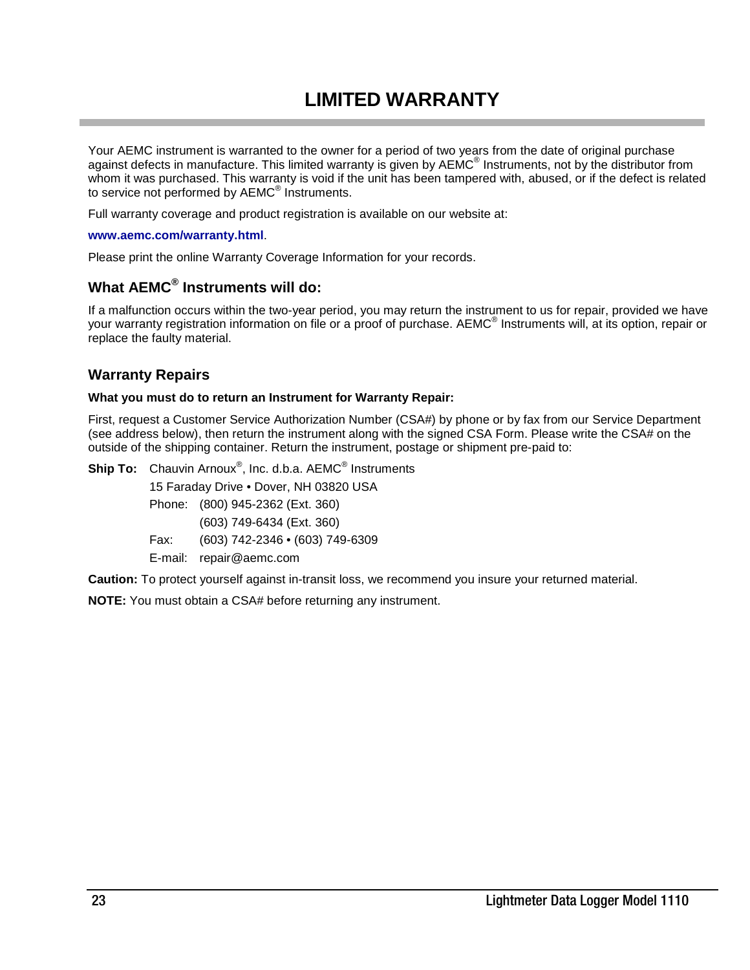## **LIMITED WARRANTY**

<span id="page-22-0"></span>Your AEMC instrument is warranted to the owner for a period of two years from the date of original purchase against defects in manufacture. This limited warranty is given by AEMC<sup>®</sup> Instruments, not by the distributor from whom it was purchased. This warranty is void if the unit has been tampered with, abused, or if the defect is related to service not performed by AEMC® Instruments.

Full warranty coverage and product registration is available on our website at:

#### **[www.aemc.com/warranty.html](http://www.aemc.com/warranty/html)**.

Please print the online Warranty Coverage Information for your records.

#### **What AEMC® Instruments will do:**

If a malfunction occurs within the two-year period, you may return the instrument to us for repair, provided we have your warranty registration information on file or a proof of purchase. AEMC® Instruments will, at its option, repair or replace the faulty material.

#### **Warranty Repairs**

#### **What you must do to return an Instrument for Warranty Repair:**

First, request a Customer Service Authorization Number (CSA#) by phone or by fax from our Service Department (see address below), then return the instrument along with the signed CSA Form. Please write the CSA# on the outside of the shipping container. Return the instrument, postage or shipment pre-paid to:

**Ship To:** Chauvin Arnoux® , Inc. d.b.a. AEMC® Instruments 15 Faraday Drive • Dover, NH 03820 USA

- Phone: (800) 945-2362 (Ext. 360)
- (603) 749-6434 (Ext. 360)
- Fax: (603) 742-2346 (603) 749-6309
- E-mail: repair@aemc.com

**Caution:** To protect yourself against in-transit loss, we recommend you insure your returned material.

**NOTE:** You must obtain a CSA# before returning any instrument.